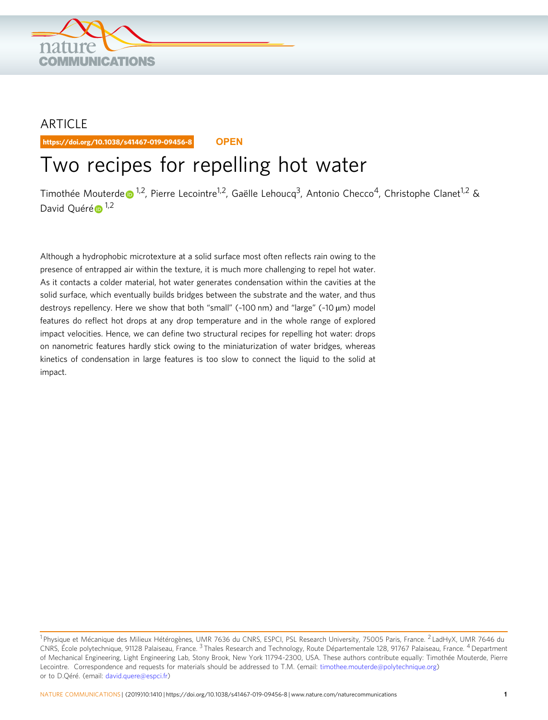

## ARTICLE

https://doi.org/10.1038/s41467-019-09456-8 **OPEN**

# Two recipes for repelling hot water

Timothé[e](http://orcid.org/0000-0002-1166-1723) Mouterde  $\bullet$ <sup>1,2</sup>, Pierre Lecointre<sup>1,2</sup>, Gaëlle Lehoucq<sup>3</sup>, Antonio Checco<sup>4</sup>, Christophe Clanet<sup>1,2</sup> & David Qu[é](http://orcid.org/0000-0003-2117-4651)ré $\bigoplus$ <sup>1,2</sup>

Although a hydrophobic microtexture at a solid surface most often reflects rain owing to the presence of entrapped air within the texture, it is much more challenging to repel hot water. As it contacts a colder material, hot water generates condensation within the cavities at the solid surface, which eventually builds bridges between the substrate and the water, and thus destroys repellency. Here we show that both "small" (~100 nm) and "large" (~10 µm) model features do reflect hot drops at any drop temperature and in the whole range of explored impact velocities. Hence, we can define two structural recipes for repelling hot water: drops on nanometric features hardly stick owing to the miniaturization of water bridges, whereas kinetics of condensation in large features is too slow to connect the liquid to the solid at impact.

<sup>&</sup>lt;sup>1</sup> Physique et Mécanique des Milieux Hétérogènes, UMR 7636 du CNRS, ESPCI, PSL Research University, 75005 Paris, France. <sup>2</sup> LadHyX, UMR 7646 du CNRS, École polytechnique, 91128 Palaiseau, France. <sup>3</sup> Thales Research and Technology, Route Départementale 128, 91767 Palaiseau, France. 4Department of Mechanical Engineering, Light Engineering Lab, Stony Brook, New York 11794-2300, USA. These authors contribute equally: Timothée Mouterde, Pierre Lecointre. Correspondence and requests for materials should be addressed to T.M. (email: [timothee.mouterde@polytechnique.org\)](mailto:timothee.mouterde@polytechnique.org) or to D.Qéré. (email: [david.quere@espci.fr](mailto:david.quere@espci.fr))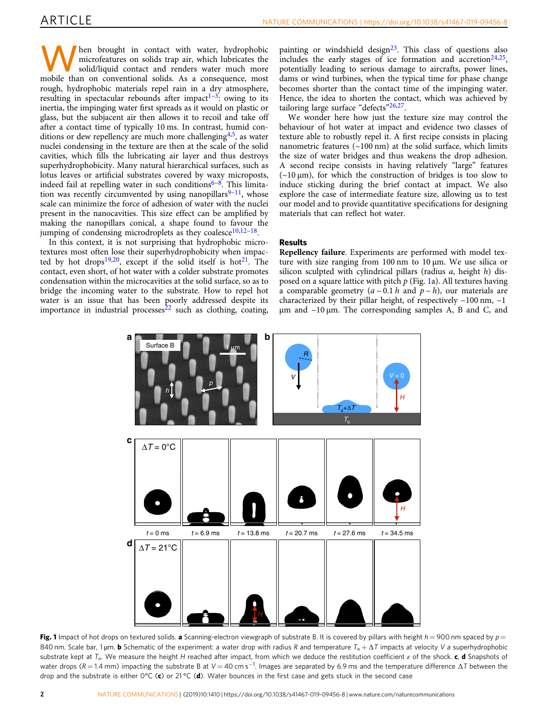<span id="page-1-0"></span>hen brought in contact with water, hydrophobic microfeatures on solids trap air, which lubricates the solid/liquid contact and renders water much more mobile than on conventional solids. As a consequence, most rough, hydrophobic materials repel rain in a dry atmosphere, resulting in spectacular rebounds after impact<sup>1-[3](#page-5-0)</sup>: owing to its inertia, the impinging water first spreads as it would on plastic or glass, but the subjacent air then allows it to recoil and take off after a contact time of typically 10 ms. In contrast, humid conditions or dew repellency are much more challenging  $4,5$ , as water nuclei condensing in the texture are then at the scale of the solid cavities, which fills the lubricating air layer and thus destroys superhydrophobicity. Many natural hierarchical surfaces, such as lotus leaves or artificial substrates covered by waxy microposts, indeed fail at repelling water in such conditions $6-8$  $6-8$ . This limitation was recently circumvented by using nanopillars $9-11$  $9-11$  $9-11$ , whose scale can minimize the force of adhesion of water with the nuclei present in the nanocavities. This size effect can be amplified by making the nanopillars conical, a shape found to favour the jumping of condensing microdroplets as they coalesce $10,12-18$  $10,12-18$  $10,12-18$ .

In this context, it is not surprising that hydrophobic microtextures most often lose their superhydrophobicity when impacted by hot drops<sup>19,20</sup>, except if the solid itself is hot<sup>21</sup>. The contact, even short, of hot water with a colder substrate promotes condensation within the microcavities at the solid surface, so as to bridge the incoming water to the substrate. How to repel hot water is an issue that has been poorly addressed despite its importance in industrial processes $22$  such as clothing, coating, painting or windshield design $2<sup>3</sup>$ . This class of questions also includes the early stages of ice formation and  $\arccos(24.25)$ , potentially leading to serious damage to aircrafts, power lines, dams or wind turbines, when the typical time for phase change becomes shorter than the contact time of the impinging water. Hence, the idea to shorten the contact, which was achieved by tailoring large surface "defects"<sup>[26,27](#page-6-0)</sup>.

We wonder here how just the texture size may control the behaviour of hot water at impact and evidence two classes of texture able to robustly repel it. A first recipe consists in placing nanometric features  $(\sim 100 \text{ nm})$  at the solid surface, which limits the size of water bridges and thus weakens the drop adhesion. A second recipe consists in having relatively "large" features  $(-10 \mu m)$ , for which the construction of bridges is too slow to induce sticking during the brief contact at impact. We also explore the case of intermediate feature size, allowing us to test our model and to provide quantitative specifications for designing materials that can reflect hot water.

### **Results**

Repellency failure. Experiments are performed with model texture with size ranging from 100 nm to 10 µm. We use silica or silicon sculpted with cylindrical pillars (radius  $a$ , height  $h$ ) disposed on a square lattice with pitch  $p$  (Fig. 1a). All textures having a comparable geometry  $(a \sim 0.1 h$  and  $p \sim h$ ), our materials are characterized by their pillar height, of respectively  $\sim$ 100 nm,  $\sim$ 1  $\mu$ m and ~10  $\mu$ m. The corresponding samples A, B and C, and



Fig. 1 Impact of hot drops on textured solids. a Scanning-electron viewgraph of substrate B. It is covered by pillars with height  $h = 900$  nm spaced by  $p =$ 840 nm. Scale bar, 1 µm. **b** Schematic of the experiment: a water drop with radius R and temperature  $T_0 + \Delta T$  impacts at velocity V a superhydrophobic substrate kept at  $T_0$ . We measure the height H reached after impact, from which we deduce the restitution coefficient  $\varepsilon$  of the shock. c, d Snapshots of water drops (R = 1.4 mm) impacting the substrate B at V = 40 cm s<sup>−1</sup>. Images are separated by 6.9 ms and the temperature difference ∆7 between the drop and the substrate is either  $0^{\circ}C$  (c) or 21 °C (d). Water bounces in the first case and gets stuck in the second case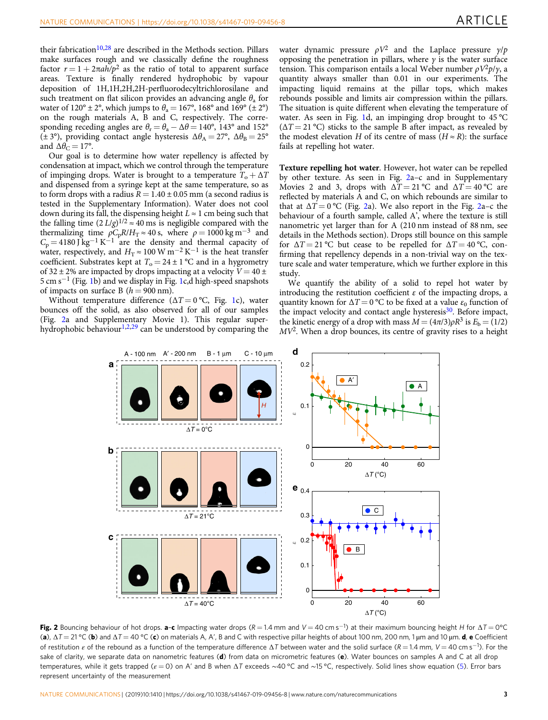<span id="page-2-0"></span>their fabrication<sup>[10](#page-5-0),[28](#page-6-0)</sup> are described in the Methods section. Pillars make surfaces rough and we classically define the roughness factor  $r = 1 + 2\pi a h/p^2$  as the ratio of total to apparent surface areas. Texture is finally rendered hydrophobic by vapour deposition of 1H,1H,2H,2H-perfluorodecyltrichlorosilane and such treatment on flat silicon provides an advancing angle  $\theta$ , for water of  $120^{\circ} \pm 2^{\circ}$ , which jumps to  $\theta_{\alpha} = 167^{\circ}$ , 168° and 169° ( $\pm 2^{\circ}$ ) on the rough materials A, B and C, respectively. The corresponding receding angles are  $\theta_r = \theta_a - \Delta\theta = 140^\circ$ , 143° and 152° ( $\pm$  3°), providing contact angle hysteresis  $\Delta\theta_A = 27^\circ$ ,  $\Delta\theta_B = 25^\circ$ and  $\Delta\theta_C = 17$ °.

Our goal is to determine how water repellency is affected by condensation at impact, which we control through the temperature of impinging drops. Water is brought to a temperature  $T_0 + \Delta T$ and dispensed from a syringe kept at the same temperature, so as to form drops with a radius  $R = 1.40 \pm 0.05$  mm (a second radius is tested in the Supplementary Information). Water does not cool down during its fall, the dispensing height  $L \approx 1$  cm being such that the falling time  $(2 L/g)^{1/2} \approx 40$  ms is negligible compared with the thermalizing time  $\rho C_p R/H_T \approx 40$  s, where  $\rho = 1000 \text{ kg m}^{-3}$  and  $C_p = 4180 \text{ J kg}^{-1} \text{ K}^{-1}$  are the density and thermal capacity of water, respectively, and  $H_T \approx 100 \text{ W m}^{-2} \text{ K}^{-1}$  is the heat transfer coefficient. Substrates kept at  $T_0 = 24 \pm 1$  °C and in a hygrometry of 32  $\pm$  2% are impacted by drops impacting at a velocity  $V = 40 \pm$ 5 cm s−<sup>1</sup> (Fig. [1b](#page-1-0)) and we display in Fig. [1](#page-1-0)c,d high-speed snapshots of impacts on surface B  $(h = 900 \text{ nm})$ .

Without temperature difference ( $\Delta T = 0$ °C, Fig. [1](#page-1-0)c), water bounces off the solid, as also observed for all of our samples (Fig. 2a and Supplementary Movie 1). This regular super-hydrophobic behaviour<sup>1,2,[29](#page-6-0)</sup> can be understood by comparing the

water dynamic pressure  $\rho V^2$  and the Laplace pressure  $\gamma / p$ opposing the penetration in pillars, where  $\gamma$  is the water surface tension. This comparison entails a local Weber number  $\rho V^2 p/\gamma$ , a quantity always smaller than 0.01 in our experiments. The impacting liquid remains at the pillar tops, which makes rebounds possible and limits air compression within the pillars. The situation is quite different when elevating the temperature of water. As seen in Fig. [1d](#page-1-0), an impinging drop brought to 45 °C  $(\Delta T = 21 \degree C)$  sticks to the sample B after impact, as revealed by the modest elevation H of its centre of mass  $(H \approx R)$ : the surface fails at repelling hot water.

Texture repelling hot water. However, hot water can be repelled by other texture. As seen in Fig. 2a–c and in Supplementary Movies 2 and 3, drops with  $\Delta T = 21 \degree C$  and  $\Delta T = 40 \degree C$  are reflected by materials A and C, on which rebounds are similar to that at  $\Delta T = 0$  °C (Fig. 2a). We also report in the Fig. 2a–c the behaviour of a fourth sample, called A', where the texture is still nanometric yet larger than for A (210 nm instead of 88 nm, see details in the Methods section). Drops still bounce on this sample for  $\Delta T = 21 \degree C$  but cease to be repelled for  $\Delta T = 40 \degree C$ , confirming that repellency depends in a non-trivial way on the texture scale and water temperature, which we further explore in this study.

We quantify the ability of a solid to repel hot water by introducing the restitution coefficient  $\varepsilon$  of the impacting drops, a quantity known for  $\Delta T = 0$  °C to be fixed at a value  $\varepsilon_0$  function of the impact velocity and contact angle hysteresis $30$ . Before impact, the kinetic energy of a drop with mass  $M = (4\pi/3)\rho R^3$  is  $E_b = (1/2)$ MV2. When a drop bounces, its centre of gravity rises to a height



Fig. 2 Bouncing behaviour of hot drops. a-c Impacting water drops ( $R=1.4$  mm and V = 40 cm s<sup>-1</sup>) at their maximum bouncing height H for  $\Delta T=0^{\circ}{\rm C}$ (a),  $\Delta T = 21 \,^{\circ}$ C (b) and  $\Delta T = 40 \,^{\circ}$ C (c) on materials A, A', B and C with respective pillar heights of about 100 nm, 200 nm, 1 µm and 10 µm. d, e Coefficient of restitution  $\varepsilon$  of the rebound as a function of the temperature difference  $\Delta T$  between water and the solid surface (R = 1.4 mm, V = 40 cm s<sup>-1</sup>). For the sake of clarity, we separate data on nanometric features (d) from data on micrometric features (e). Water bounces on samples A and C at all drop temperatures, while it gets trapped ( $\varepsilon$  = 0) on A' and B when ΔT exceeds ~40 °C and ~15 °C, respectively. Solid lines show equation ([5\)](#page-4-0). Error bars represent uncertainty of the measurement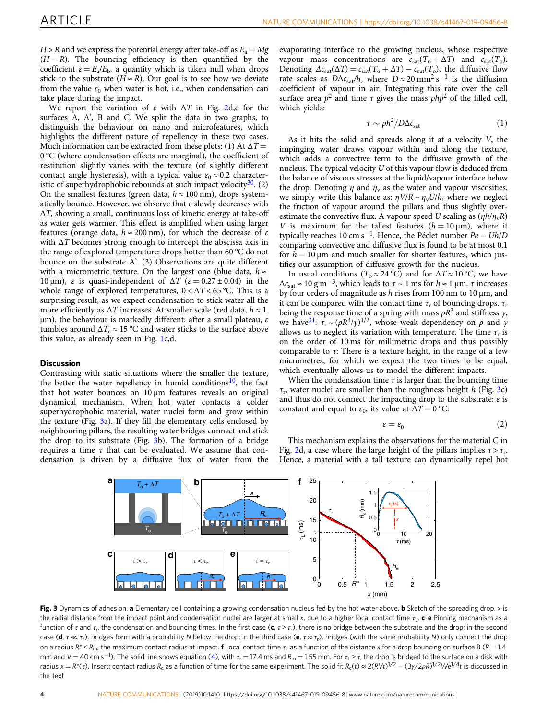<span id="page-3-0"></span> $H > R$  and we express the potential energy after take-off as  $E_a = Mg$  $(H - R)$ . The bouncing efficiency is then quantified by the coefficient  $\varepsilon = E_a/E_b$ , a quantity which is taken null when drops stick to the substrate  $(H \approx R)$ . Our goal is to see how we deviate from the value  $\varepsilon_0$  when water is hot, i.e., when condensation can take place during the impact.

We report the variation of  $\varepsilon$  with  $\Delta T$  in Fig. [2](#page-2-0)d, e for the surfaces A, A', B and C. We split the data in two graphs, to distinguish the behaviour on nano and microfeatures, which highlights the different nature of repellency in these two cases. Much information can be extracted from these plots: (1) At  $\Delta T =$ 0 °C (where condensation effects are marginal), the coefficient of restitution slightly varies with the texture (of slightly different contact angle hysteresis), with a typical value  $\varepsilon_0 \approx 0.2$  characteristic of superhydrophobic rebounds at such impact velocity $30$ . (2) On the smallest features (green data,  $h \approx 100$  nm), drops systematically bounce. However, we observe that  $\varepsilon$  slowly decreases with  $\Delta T$ , showing a small, continuous loss of kinetic energy at take-off as water gets warmer. This effect is amplified when using larger features (orange data,  $h \approx 200$  nm), for which the decrease of  $\varepsilon$ with  $\Delta T$  becomes strong enough to intercept the abscissa axis in the range of explored temperature: drops hotter than 60 °C do not bounce on the substrate A'. (3) Observations are quite different with a micrometric texture. On the largest one (blue data,  $h \approx$ 10 μm), ε is quasi-independent of  $\Delta T$  (ε = 0.27 ± 0.04) in the whole range of explored temperatures,  $0 < \Delta T < 65$  °C. This is a surprising result, as we expect condensation to stick water all the more efficiently as  $\Delta T$  increases. At smaller scale (red data,  $h \approx 1$ )  $μ$ m), the behaviour is markedly different: after a small plateau, ε tumbles around  $\Delta T_c \approx 15 \degree \text{C}$  and water sticks to the surface above this value, as already seen in Fig. [1](#page-1-0)c,d.

#### **Discussion**

Contrasting with static situations where the smaller the texture, the better the water repellency in humid conditions<sup>[10](#page-5-0)</sup>, the fact that hot water bounces on  $10 \mu m$  features reveals an original dynamical mechanism. When hot water contacts a colder superhydrophobic material, water nuclei form and grow within the texture (Fig. 3a). If they fill the elementary cells enclosed by neighbouring pillars, the resulting water bridges connect and stick the drop to its substrate (Fig. 3b). The formation of a bridge requires a time  $\tau$  that can be evaluated. We assume that condensation is driven by a diffusive flux of water from the evaporating interface to the growing nucleus, whose respective vapour mass concentrations are  $c_{sat}(T_0 + \Delta T)$  and  $c_{sat}(T_0)$ . Denoting  $\Delta c_{\text{sat}}(\Delta T) = c_{\text{sat}}(T_o + \Delta T) - c_{\text{sat}}(T_o)$ , the diffusive flow rate scales as  $D\Delta c_{sat}/h$ , where  $D \approx 20$  mm<sup>2</sup> s<sup>-1</sup> is the diffusion coefficient of vapour in air. Integrating this rate over the cell surface area  $p^2$  and time  $\tau$  gives the mass  $\rho h p^2$  of the filled cell, which yields:

$$
\tau \sim \rho h^2 / D \Delta c_{\text{sat}} \tag{1}
$$

As it hits the solid and spreads along it at a velocity V, the impinging water draws vapour within and along the texture, which adds a convective term to the diffusive growth of the nucleus. The typical velocity U of this vapour flow is deduced from the balance of viscous stresses at the liquid/vapour interface below the drop. Denoting  $\eta$  and  $\eta_v$  as the water and vapour viscosities, we simply write this balance as:  $\eta V/R \sim \eta_V U/h$ , where we neglect the friction of vapour around the pillars and thus slightly overestimate the convective flux. A vapour speed U scaling as  $(\eta h/\eta_v R)$ V is maximum for the tallest features  $(h = 10 \,\mu\text{m})$ , where it typically reaches 10 cm s<sup>-1</sup>. Hence, the Péclet number  $Pe = Uh/D$ comparing convective and diffusive flux is found to be at most 0.1 for  $h = 10 \mu m$  and much smaller for shorter features, which justifies our assumption of diffusive growth for the nucleus.

In usual conditions ( $T_0 \approx 24 \degree C$ ) and for  $\Delta T \approx 10 \degree C$ , we have  $\Delta c_{\text{sat}} \approx 10 \text{ g m}^{-3}$ , which leads to  $\tau \sim 1 \text{ ms}$  for  $h \approx 1 \text{ µm}$ .  $\tau$  increases by four orders of magnitude as  $h$  rises from 100 nm to 10  $\mu$ m, and it can be compared with the contact time  $\tau_r$  of bouncing drops.  $\tau_r$ being the response time of a spring with mass  $\rho R^3$  and stiffness  $\gamma$ , we have<sup>31</sup>:  $\tau_r \sim (\rho R^3/\gamma)^{1/2}$ , whose weak dependency on  $\rho$  and  $\gamma$ allows us to neglect its variation with temperature. The time  $\tau_r$  is on the order of 10 ms for millimetric drops and thus possibly comparable to  $\tau$ : There is a texture height, in the range of a few micrometres, for which we expect the two times to be equal, which eventually allows us to model the different impacts.

When the condensation time  $\tau$  is larger than the bouncing time  $\tau_r$ , water nuclei are smaller than the roughness height h (Fig. 3c) and thus do not connect the impacting drop to the substrate:  $\varepsilon$  is constant and equal to  $\varepsilon_0$ , its value at  $\Delta T = 0$  °C:

$$
\varepsilon = \varepsilon_0 \tag{2}
$$

This mechanism explains the observations for the material C in Fig. [2d](#page-2-0), a case where the large height of the pillars implies  $\tau > \tau_r$ . Hence, a material with a tall texture can dynamically repel hot



Fig. 3 Dynamics of adhesion. a Elementary cell containing a growing condensation nucleus fed by the hot water above. b Sketch of the spreading drop. x is the radial distance from the impact point and condensation nuclei are larger at small x, due to a higher local contact time  $\tau_L$ . c-e Pinning mechanism as a function of  $\tau$  and  $\tau_r$ , the condensation and bouncing times. In the first case (c,  $\tau > \tau_r$ ), there is no bridge between the substrate and the drop; in the second case (**d**,  $\tau \ll \tau_r$ ), bridges form with a probability N below the drop; in the third case (**e**,  $\tau \approx \tau_r$ ), bridges (with the same probability N) only connect the drop on a radius  $R^* < R_{\text{m}}$ , the maximum contact radius at impact. **f** Local contact time  $\tau_1$  as a function of the distance x for a drop bouncing on surface B ( $R = 1.4$ ) mm and V = 40 cm s<sup>−1</sup>). The solid line shows equation [\(4](#page-4-0)), with  $\tau_{\rm r}$  = 17.4 ms and  $R_{\rm m}$  = 1.55 mm. For  $\tau_{\rm L}$  >  $\tau$ , the drop is bridged to the surface on a disk with radius  $x = R^*(\tau)$ . Insert: contact radius  $R_c$  as a function of time for the same experiment. The solid fit  $R_c(t) \approx 2(RVt)^{1/2} - (3\gamma/2\rho R)^{1/2}We^{1/4}t$  is discussed in the text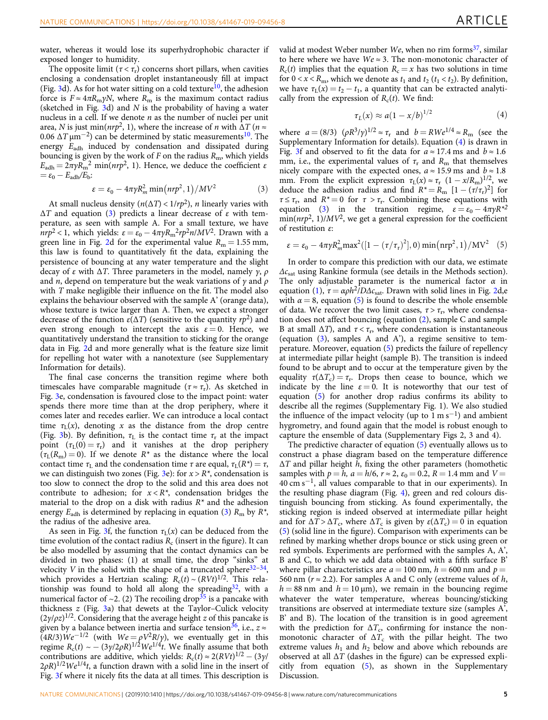<span id="page-4-0"></span>water, whereas it would lose its superhydrophobic character if exposed longer to humidity.

The opposite limit ( $\tau < \tau_r$ ) concerns short pillars, when cavities enclosing a condensation droplet instantaneously fill at impact (Fig. [3](#page-3-0)d). As for hot water sitting on a cold texture<sup>10</sup>, the adhesion force is  $F \approx 4\pi R_m \gamma N$ , where  $R_m$  is the maximum contact radius (sketched in Fig.  $3d$ ) and N is the probability of having a water nucleus in a cell. If we denote  $n$  as the number of nuclei per unit area, N is just min( $nrp^2$ , 1), where the increase of *n* with  $\Delta T$  ( $n \approx$ 0.06  $\Delta T \mu$ m<sup>-2</sup>) can be determined by static measurements<sup>[10](#page-5-0)</sup>. The energy Eadh induced by condensation and dissipated during bouncing is given by the work of  $F$  on the radius  $R<sub>m</sub>$ , which yields  $E_{\text{adh}} = 2\pi \gamma R_{\text{m}}^2$  min(nrp<sup>2</sup>, 1). Hence, we deduce the coefficient  $\varepsilon$  $=\varepsilon_0 - E_{\rm adh}/E_{\rm b}$ :

$$
\varepsilon = \varepsilon_0 - 4\pi \gamma R_m^2 \min\left(n r p^2, 1\right) / M V^2 \tag{3}
$$

At small nucleus density ( $n(\Delta T)$  <  $1/rp^2$ ), *n* linearly varies with  $\Delta T$  and equation (3) predicts a linear decrease of  $\varepsilon$  with temperature, as seen with sample A. For a small texture, we have  $nrp^2 < 1$ , which yields:  $\varepsilon = \varepsilon_0 - 4\pi \gamma R_m^2 r p^2 n / M V^2$ . Drawn with a green line in Fig. [2](#page-2-0)d for the experimental value  $R_m = 1.55$  mm, this law is found to quantitatively fit the data, explaining the persistence of bouncing at any water temperature and the slight decay of ε with  $ΔT$ . Three parameters in the model, namely  $γ, ρ$ and *n*, depend on temperature but the weak variations of  $\gamma$  and  $\rho$ with T make negligible their influence on the fit. The model also explains the behaviour observed with the sample A' (orange data), whose texture is twice larger than A. Then, we expect a stronger decrease of the function  $\varepsilon(\Delta T)$  (sensitive to the quantity  $rp^2$ ) and even strong enough to intercept the axis  $\varepsilon = 0$ . Hence, we quantitatively understand the transition to sticking for the orange data in Fig. [2](#page-2-0)d and more generally what is the feature size limit for repelling hot water with a nanotexture (see Supplementary Information for details).

The final case concerns the transition regime where both timescales have comparable magnitude ( $\tau \approx \tau_r$ ). As sketched in Fig. [3e](#page-3-0), condensation is favoured close to the impact point: water spends there more time than at the drop periphery, where it comes later and recedes earlier. We can introduce a local contact time  $\tau_L(x)$ , denoting x as the distance from the drop centre (Fig. [3](#page-3-0)b). By definition,  $\tau_L$  is the contact time  $\tau_r$  at the impact point  $(\tau_L(0) = \tau_r)$  and it vanishes at the drop periphery  $(\tau_L(R_m) = 0)$ . If we denote  $R^*$  as the distance where the local contact time  $\tau_{\text{L}}$  and the condensation time  $\tau$  are equal,  $\tau_{\text{L}}(R^*) = \tau$ , we can distinguish two zones (Fig. [3](#page-3-0)e): for  $x > R^*$ , condensation is too slow to connect the drop to the solid and this area does not contribute to adhesion; for  $x < R^*$ , condensation bridges the material to the drop on a disk with radius  $R^*$  and the adhesion energy  $E_{\text{adh}}$  is determined by replacing in equation (3)  $R_{\text{m}}$  by  $R^*$ , the radius of the adhesive area.

As seen in Fig. [3](#page-3-0)f, the function  $\tau_L(x)$  can be deduced from the time evolution of the contact radius  $R_c$  (insert in the figure). It can be also modelled by assuming that the contact dynamics can be divided in two phases: (1) at small time, the drop "sinks" at velocity V in the solid with the shape of a truncated sphere<sup>[32](#page-6-0)-34</sup>, which provides a Hertzian scaling:  $R_c(t) \sim (RVt)^{1/2}$ . This relationship was found to hold all along the spreading  $32$ , with a numerical factor of  $\sim$ 2. (2) The recoiling drop<sup>[35](#page-6-0)</sup> is a pancake with thickness  $z$  (Fig. [3a](#page-3-0)) that dewets at the Taylor-Culick velocity  $(2\gamma/\rho z)^{1/2}$ . Considering that the average height z of this pancake is given by a balance between inertia and surface tension<sup>36</sup>, i.e.,  $z \approx$  $(4R/3)$  $We^{-1/2}$  (with  $We = \rho V^2 R/\gamma$ ), we eventually get in this regime  $R_c(t) \sim - (3\gamma/2\rho R)^{1/2}We^{1/4}t$ . We finally assume that both contributions are additive, which yields:  $R_c(t) \approx 2(RVt)^{1/2} - (3\gamma/\sqrt{2})$  $(2\rho R)^{1/2}We^{1/4}t$ , a function drawn with a solid line in the insert of Fig. [3f](#page-3-0) where it nicely fits the data at all times. This description is valid at modest Weber number We, when no rim forms $^{37}$  $^{37}$  $^{37}$ , similar to here where we have  $We \approx 3$ . The non-monotonic character of  $R_c(t)$  implies that the equation  $R_c = x$  has two solutions in time for  $0 \lt x \lt R_m$ , which we denote as  $t_1$  and  $t_2$  ( $t_1 \lt t_2$ ). By definition, we have  $\tau_1(x) = t_2 - t_1$ , a quantity that can be extracted analytically from the expression of  $R_c(t)$ . We find:

$$
\tau_L(x) \approx a(1 - x/b)^{1/2} \tag{4}
$$

where  $a = (8/3)$   $(\rho R^3/\gamma)^{1/2} \approx \tau_r$  and  $b = RWe^{1/4} \approx R_m$  (see the Supplementary Information for details). Equation (4) is drawn in Fig. [3f](#page-3-0) and observed to fit the data for  $a \approx 17.4$  ms and  $b \approx 1.6$ mm, i.e., the experimental values of  $\tau_r$  and  $R_m$  that themselves nicely compare with the expected ones,  $a \approx 15.9$  ms and  $b \approx 1.8$ mm. From the explicit expression  $\tau_L(x) \approx \tau_r (1 - x/R_m)^{1/2}$ , we deduce the adhesion radius and find  $R^* = R_m$   $[1 - (\tau/\tau_r)^2]$  for  $\tau \leq \tau_r$ , and  $R^* = 0$  for  $\tau > \tau_r$ . Combining these equations with equation (3) in the transition regime,  $\varepsilon = \varepsilon_0 - 4\pi \gamma R^{*2}$  $\min(nrp^2, 1)/MV^2$ , we get a general expression for the coefficient of restitution ε:

$$
\varepsilon = \varepsilon_0 - 4\pi \gamma R_m^2 \max^2([1 - (\tau/\tau_r)^2], 0) \min(nrp^2, 1) / MV^2 \quad (5)
$$

In order to compare this prediction with our data, we estimate  $\Delta c_{\rm sat}$  using Rankine formula (see details in the Methods section). The only adjustable parameter is the numerical factor  $\alpha$  in equation ([1](#page-3-0)),  $\tau = \alpha \rho h^2 / D \Delta c_{\text{sat}}$ . Drawn with solid lines in Fig. [2d](#page-2-0),e with  $\alpha = 8$ , equation (5) is found to describe the whole ensemble of data. We recover the two limit cases,  $\tau > \tau_r$ , where condensation does not affect bouncing (equation ([2](#page-3-0)), sample C and sample B at small  $\Delta T$ ), and  $\tau < \tau_r$ , where condensation is instantaneous (equation (3), samples A and A'), a regime sensitive to temperature. Moreover, equation (5) predicts the failure of repellency at intermediate pillar height (sample B). The transition is indeed found to be abrupt and to occur at the temperature given by the equality  $\tau(\Delta T_c) = \tau_r$ . Drops then cease to bounce, which we indicate by the line  $\varepsilon = 0$ . It is noteworthy that our test of equation (5) for another drop radius confirms its ability to describe all the regimes (Supplementary Fig. 1). We also studied the influence of the impact velocity (up to  $1 \text{ m s}^{-1}$ ) and ambient hygrometry, and found again that the model is robust enough to capture the ensemble of data (Supplementary Figs 2, 3 and 4).

The predictive character of equation (5) eventually allows us to construct a phase diagram based on the temperature difference  $\Delta T$  and pillar height h, fixing the other parameters (homothetic samples with  $p = h$ ,  $a = h/6$ ,  $r \approx 2$ ,  $\varepsilon_0 = 0.2$ ,  $R = 1.4$  mm and  $V =$ 40 cm s<sup>−</sup>1, all values comparable to that in our experiments). In the resulting phase diagram (Fig. [4\)](#page-5-0), green and red colours distinguish bouncing from sticking. As found experimentally, the sticking region is indeed observed at intermediate pillar height and for  $\Delta T > \Delta T_c$ , where  $\Delta T_c$  is given by  $\varepsilon(\Delta T_c) = 0$  in equation (5) (solid line in the figure). Comparison with experiments can be refined by marking whether drops bounce or stick using green or red symbols. Experiments are performed with the samples A, A', B and C, to which we add data obtained with a fifth surface B' where pillar characteristics are  $a = 100$  nm,  $h = 600$  nm and  $p =$ 560 nm ( $r \approx 2.2$ ). For samples A and C only (extreme values of h,  $h = 88$  nm and  $h = 10 \,\mu$ m), we remain in the bouncing regime whatever the water temperature, whereas bouncing/sticking transitions are observed at intermediate texture size (samples A', B' and B). The location of the transition is in good agreement with the prediction for  $\Delta T_c$ , confirming for instance the nonmonotonic character of  $\Delta T_c$  with the pillar height. The two extreme values  $h_1$  and  $h_2$  below and above which rebounds are observed at all  $\Delta T$  (dashes in the figure) can be expressed explicitly from equation (5), as shown in the Supplementary Discussion.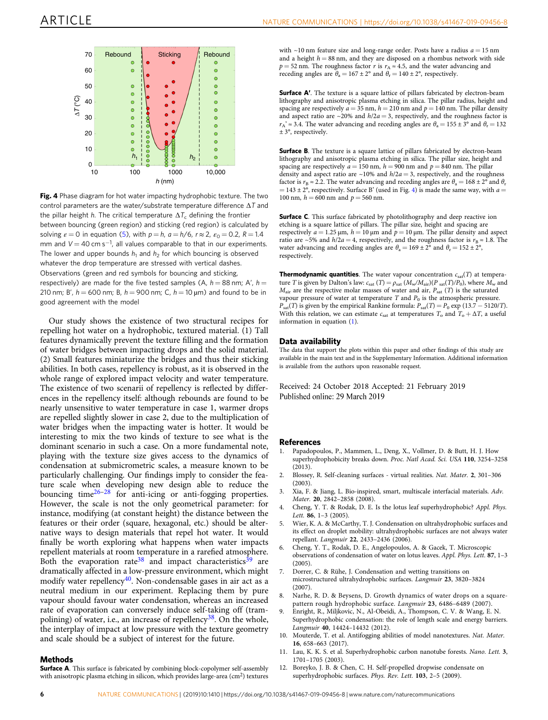<span id="page-5-0"></span>

Fig. 4 Phase diagram for hot water impacting hydrophobic texture. The two control parameters are the water/substrate temperature difference  $\Delta T$  and the pillar height h. The critical temperature  $\Delta T_c$  defining the frontier between bouncing (green region) and sticking (red region) is calculated by solving  $\varepsilon = 0$  in equation ([5\)](#page-4-0), with  $p = h$ ,  $a = h/6$ ,  $r \approx 2$ ,  $\varepsilon_0 = 0.2$ ,  $R = 1.4$ mm and  $V = 40$  cm s<sup>-1</sup>, all values comparable to that in our experiments. The lower and upper bounds  $h_1$  and  $h_2$  for which bouncing is observed whatever the drop temperature are stressed with vertical dashes. Observations (green and red symbols for bouncing and sticking, respectively) are made for the five tested samples (A,  $h = 88$  nm; A',  $h =$ 210 nm; B',  $h = 600$  nm; B,  $h = 900$  nm; C,  $h = 10$  µm) and found to be in good agreement with the model

Our study shows the existence of two structural recipes for repelling hot water on a hydrophobic, textured material. (1) Tall features dynamically prevent the texture filling and the formation of water bridges between impacting drops and the solid material. (2) Small features miniaturize the bridges and thus their sticking abilities. In both cases, repellency is robust, as it is observed in the whole range of explored impact velocity and water temperature. The existence of two scenarii of repellency is reflected by differences in the repellency itself: although rebounds are found to be nearly unsensitive to water temperature in case 1, warmer drops are repelled slightly slower in case 2, due to the multiplication of water bridges when the impacting water is hotter. It would be interesting to mix the two kinds of texture to see what is the dominant scenario in such a case. On a more fundamental note, playing with the texture size gives access to the dynamics of condensation at submicrometric scales, a measure known to be particularly challenging. Our findings imply to consider the feature scale when developing new design able to reduce the bouncing time[26](#page-6-0)–[28](#page-6-0) for anti-icing or anti-fogging properties. However, the scale is not the only geometrical parameter: for instance, modifying (at constant height) the distance between the features or their order (square, hexagonal, etc.) should be alternative ways to design materials that repel hot water. It would finally be worth exploring what happens when water impacts repellent materials at room temperature in a rarefied atmosphere. Both the evaporation rate<sup>38</sup> and impact characteristics<sup>[39](#page-6-0)</sup> are dramatically affected in a low-pressure environment, which might modify water repellency<sup>40</sup>. Non-condensable gases in air act as a neutral medium in our experiment. Replacing them by pure vapour should favour water condensation, whereas an increased rate of evaporation can conversely induce self-taking off (tram-polining) of water, i.e., an increase of repellency<sup>[38](#page-6-0)</sup>. On the whole, the interplay of impact at low pressure with the texture geometry and scale should be a subject of interest for the future.

#### **Methods**

Surface A. This surface is fabricated by combining block-copolymer self-assembly with anisotropic plasma etching in silicon, which provides large-area (cm<sup>2</sup>) textures

with  $\sim$ 10 nm feature size and long-range order. Posts have a radius  $a = 15$  nm and a height  $h = 88$  nm, and they are disposed on a rhombus network with side  $p = 52$  nm. The roughness factor r is  $r_A \approx 4.5$ , and the water advancing and receding angles are  $\theta_a = 167 \pm 2^{\circ}$  and  $\theta_r = 140 \pm 2^{\circ}$ , respectively.

Surface A'. The texture is a square lattice of pillars fabricated by electron-beam lithography and anisotropic plasma etching in silica. The pillar radius, height and spacing are respectively  $a = 35$  nm,  $h = 210$  nm and  $p = 140$  nm. The pillar density and aspect ratio are  $\sim$ 20% and  $h/2a$  = 3, respectively, and the roughness factor is  $r_A' \approx 3.4$ . The water advancing and receding angles are  $\theta_a = 155 \pm 3^\circ$  and  $\theta_r = 132$  $\pm$  3°, respectively.

**Surface B**. The texture is a square lattice of pillars fabricated by electron-beam lithography and anisotropic plasma etching in silica. The pillar size, height and spacing are respectively  $a = 150$  nm,  $h = 900$  nm and  $p = 840$  nm. The pillar density and aspect ratio are  $\sim$ 10% and  $h/2a$  = 3, respectively, and the roughness factor is  $r_B \approx 2.2$ . The water advancing and receding angles are  $\theta_a = 168 \pm 2^{\circ}$  and  $\theta_r$  $= 143 \pm 2^{\circ}$ , respectively. Surface B' (used in Fig. 4) is made the same way, with  $a =$ 100 nm,  $h = 600$  nm and  $p = 560$  nm.

**Surface C**. This surface fabricated by photolithography and deep reactive ion etching is a square lattice of pillars. The pillar size, height and spacing are respectively  $a = 1.25 \,\mu\text{m}$ ,  $h = 10 \,\mu\text{m}$  and  $p = 10 \,\mu\text{m}$ . The pillar density and aspect ratio are ~5% and  $h/2a = 4$ , respectively, and the roughness factor is  $r_B \approx 1.8$ . The water advancing and receding angles are  $\theta_a = 169 \pm 2^{\circ}$  and  $\theta_r = 152 \pm 2^{\circ}$ , respectively.

**Thermodynamic quantities**. The water vapour concentration  $c_{\text{sat}}(T)$  at temperature T is given by Dalton's law:  $c_{sat}$  (T) =  $\rho_{sat}$  ( $M_w/M_{air}$ )( $P_{sat}(T)/P_0$ ), where  $M_w$  and  $M_{\text{air}}$  are the respective molar masses of water and air,  $P_{\text{sat}}(T)$  is the saturated vapour pressure of water at temperature T and  $P_0$  is the atmospheric pressure.  $P_{\text{sat}}(T)$  is given by the empirical Rankine formula:  $P_{\text{sat}}(T) = P_0 \exp(13.7 - 5120/T)$ . With this relation, we can estimate  $c_{\text{sat}}$  at temperatures  $T_0$  and  $T_0 + \Delta T$ , a useful information in equation ([1](#page-3-0)).

#### Data availability

The data that support the plots within this paper and other findings of this study are available in the main text and in the Supplementary Information. Additional information is available from the authors upon reasonable request.

Received: 24 October 2018 Accepted: 21 February 2019 Published online: 29 March 2019

## **References**<br>1. Papadopo

- 1. Papadopoulos, P., Mammen, L., Deng, X., Vollmer, D. & Butt, H. J. How superhydrophobicity breaks down. Proc. Natl Acad. Sci. USA 110, 3254–3258  $(2013)$
- 2. Blossey, R. Self-cleaning surfaces virtual realities. Nat. Mater. 2, 301–306  $(2003)$
- 3. Xia, F. & Jiang, L. Bio-inspired, smart, multiscale interfacial materials. Adv. Mater. 20, 2842–2858 (2008).
- 4. Cheng, Y. T. & Rodak, D. E. Is the lotus leaf superhydrophobic? Appl. Phys. Lett. 86, 1-3 (2005).
- 5. Wier, K. A. & McCarthy, T. J. Condensation on ultrahydrophobic surfaces and its effect on droplet mobility: ultrahydrophobic surfaces are not always water repellant. Langmuir 22, 2433–2436 (2006).
- 6. Cheng, Y. T., Rodak, D. E., Angelopoulos, A. & Gacek, T. Microscopic observations of condensation of water on lotus leaves. Appl. Phys. Lett. 87, 1–3 (2005).
- 7. Dorrer, C. & Rühe, J. Condensation and wetting transitions on microstructured ultrahydrophobic surfaces. Langmuir 23, 3820–3824 (2007).
- 8. Narhe, R. D. & Beysens, D. Growth dynamics of water drops on a squarepattern rough hydrophobic surface. Langmuir 23, 6486–6489 (2007).
- 9. Enright, R., Miljkovic, N., Al-Obeidi, A., Thompson, C. V. & Wang, E. N. Superhydrophobic condensation: the role of length scale and energy barriers. Langmuir 40, 14424–14432 (2012).
- 10. Mouterde, T. et al. Antifogging abilities of model nanotextures. Nat. Mater. 16, 658–663 (2017).
- 11. Lau, K. K. S. et al. Superhydrophobic carbon nanotube forests. Nano. Lett. 3, 1701–1705 (2003).
- 12. Boreyko, J. B. & Chen, C. H. Self-propelled dropwise condensate on superhydrophobic surfaces. Phys. Rev. Lett. 103, 2–5 (2009).